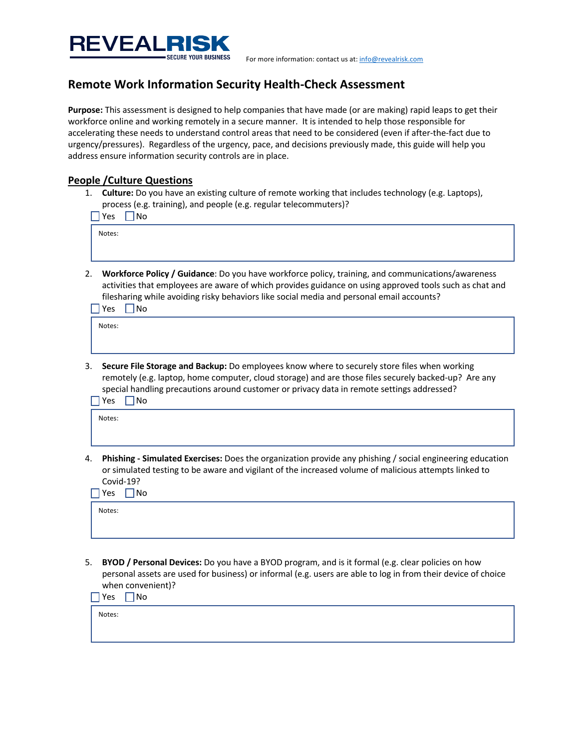

For more information: contact us at: info@revealrisk.com

## **Remote Work Information Security Health-Check Assessment**

**Purpose:** This assessment is designed to help companies that have made (or are making) rapid leaps to get their workforce online and working remotely in a secure manner. It is intended to help those responsible for accelerating these needs to understand control areas that need to be considered (even if after-the-fact due to urgency/pressures). Regardless of the urgency, pace, and decisions previously made, this guide will help you address ensure information security controls are in place.

## **People /Culture Questions**

1. **Culture:** Do you have an existing culture of remote working that includes technology (e.g. Laptops), process (e.g. training), and people (e.g. regular telecommuters)?

|    | No<br>Yes                                                                                                                                                                                                                                                                                                              |
|----|------------------------------------------------------------------------------------------------------------------------------------------------------------------------------------------------------------------------------------------------------------------------------------------------------------------------|
|    | Notes:                                                                                                                                                                                                                                                                                                                 |
|    |                                                                                                                                                                                                                                                                                                                        |
| 2. | Workforce Policy / Guidance: Do you have workforce policy, training, and communications/awareness<br>activities that employees are aware of which provides guidance on using approved tools such as chat and<br>filesharing while avoiding risky behaviors like social media and personal email accounts?<br>Nο<br>Yes |
|    |                                                                                                                                                                                                                                                                                                                        |

Notes:

3. **Secure File Storage and Backup:** Do employees know where to securely store files when working remotely (e.g. laptop, home computer, cloud storage) and are those files securely backed-up? Are any special handling precautions around customer or privacy data in remote settings addressed?  $\sqrt{\frac{Yes_{\perp}}{1}}$  No

Notes:

4. **Phishing - Simulated Exercises:** Does the organization provide any phishing / social engineering education or simulated testing to be aware and vigilant of the increased volume of malicious attempts linked to Covid-19?  $\Box$ Yes  $\Box$ No

| ∟ures<br>$\Box$ $\mathsf{NQ}$ |  |  |  |  |  |  |
|-------------------------------|--|--|--|--|--|--|
| Notes:                        |  |  |  |  |  |  |
|                               |  |  |  |  |  |  |
|                               |  |  |  |  |  |  |

5. **BYOD / Personal Devices:** Do you have a BYOD program, and is it formal (e.g. clear policies on how personal assets are used for business) or informal (e.g. users are able to log in from their device of choice when convenient)?

 $\sqrt{\frac{Yes_{\perp}}{1}}$  No

Notes: